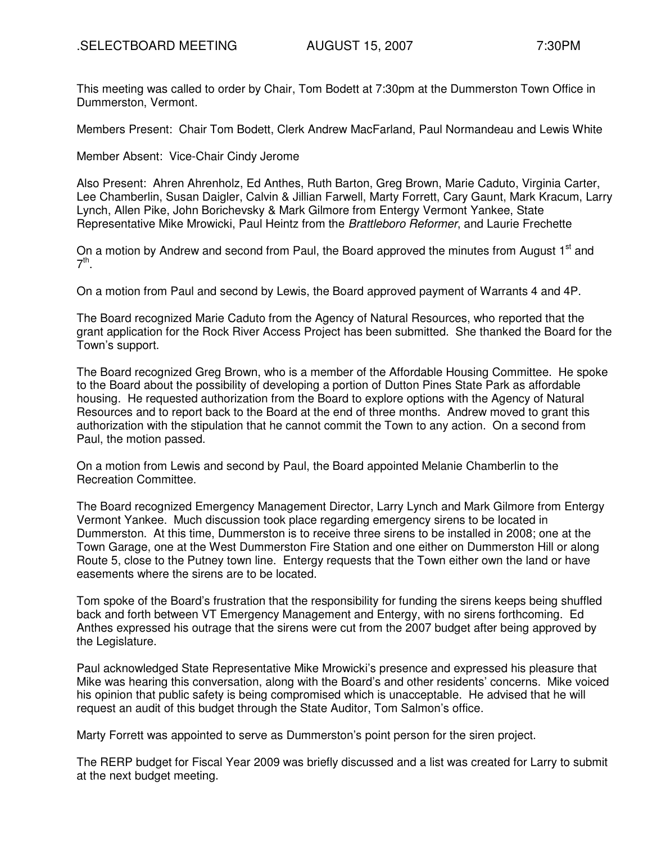This meeting was called to order by Chair, Tom Bodett at 7:30pm at the Dummerston Town Office in Dummerston, Vermont.

Members Present: Chair Tom Bodett, Clerk Andrew MacFarland, Paul Normandeau and Lewis White

Member Absent: Vice-Chair Cindy Jerome

Also Present: Ahren Ahrenholz, Ed Anthes, Ruth Barton, Greg Brown, Marie Caduto, Virginia Carter, Lee Chamberlin, Susan Daigler, Calvin & Jillian Farwell, Marty Forrett, Cary Gaunt, Mark Kracum, Larry Lynch, Allen Pike, John Borichevsky & Mark Gilmore from Entergy Vermont Yankee, State Representative Mike Mrowicki, Paul Heintz from the Brattleboro Reformer, and Laurie Frechette

On a motion by Andrew and second from Paul, the Board approved the minutes from August 1<sup>st</sup> and  $7<sup>th</sup>$ .

On a motion from Paul and second by Lewis, the Board approved payment of Warrants 4 and 4P.

The Board recognized Marie Caduto from the Agency of Natural Resources, who reported that the grant application for the Rock River Access Project has been submitted. She thanked the Board for the Town's support.

The Board recognized Greg Brown, who is a member of the Affordable Housing Committee. He spoke to the Board about the possibility of developing a portion of Dutton Pines State Park as affordable housing. He requested authorization from the Board to explore options with the Agency of Natural Resources and to report back to the Board at the end of three months. Andrew moved to grant this authorization with the stipulation that he cannot commit the Town to any action. On a second from Paul, the motion passed.

On a motion from Lewis and second by Paul, the Board appointed Melanie Chamberlin to the Recreation Committee.

The Board recognized Emergency Management Director, Larry Lynch and Mark Gilmore from Entergy Vermont Yankee. Much discussion took place regarding emergency sirens to be located in Dummerston. At this time, Dummerston is to receive three sirens to be installed in 2008; one at the Town Garage, one at the West Dummerston Fire Station and one either on Dummerston Hill or along Route 5, close to the Putney town line. Entergy requests that the Town either own the land or have easements where the sirens are to be located.

Tom spoke of the Board's frustration that the responsibility for funding the sirens keeps being shuffled back and forth between VT Emergency Management and Entergy, with no sirens forthcoming. Ed Anthes expressed his outrage that the sirens were cut from the 2007 budget after being approved by the Legislature.

Paul acknowledged State Representative Mike Mrowicki's presence and expressed his pleasure that Mike was hearing this conversation, along with the Board's and other residents' concerns. Mike voiced his opinion that public safety is being compromised which is unacceptable. He advised that he will request an audit of this budget through the State Auditor, Tom Salmon's office.

Marty Forrett was appointed to serve as Dummerston's point person for the siren project.

The RERP budget for Fiscal Year 2009 was briefly discussed and a list was created for Larry to submit at the next budget meeting.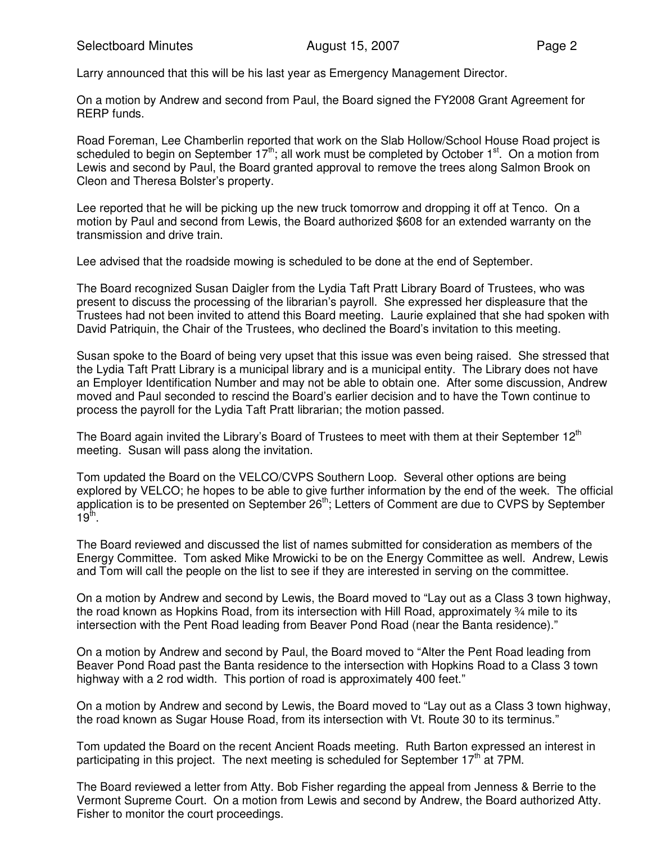Larry announced that this will be his last year as Emergency Management Director.

On a motion by Andrew and second from Paul, the Board signed the FY2008 Grant Agreement for RERP funds.

Road Foreman, Lee Chamberlin reported that work on the Slab Hollow/School House Road project is scheduled to begin on September  $17<sup>th</sup>$ ; all work must be completed by October  $1<sup>st</sup>$ . On a motion from Lewis and second by Paul, the Board granted approval to remove the trees along Salmon Brook on Cleon and Theresa Bolster's property.

Lee reported that he will be picking up the new truck tomorrow and dropping it off at Tenco. On a motion by Paul and second from Lewis, the Board authorized \$608 for an extended warranty on the transmission and drive train.

Lee advised that the roadside mowing is scheduled to be done at the end of September.

The Board recognized Susan Daigler from the Lydia Taft Pratt Library Board of Trustees, who was present to discuss the processing of the librarian's payroll. She expressed her displeasure that the Trustees had not been invited to attend this Board meeting. Laurie explained that she had spoken with David Patriquin, the Chair of the Trustees, who declined the Board's invitation to this meeting.

Susan spoke to the Board of being very upset that this issue was even being raised. She stressed that the Lydia Taft Pratt Library is a municipal library and is a municipal entity. The Library does not have an Employer Identification Number and may not be able to obtain one. After some discussion, Andrew moved and Paul seconded to rescind the Board's earlier decision and to have the Town continue to process the payroll for the Lydia Taft Pratt librarian; the motion passed.

The Board again invited the Library's Board of Trustees to meet with them at their September 12<sup>th</sup> meeting. Susan will pass along the invitation.

Tom updated the Board on the VELCO/CVPS Southern Loop. Several other options are being explored by VELCO; he hopes to be able to give further information by the end of the week. The official application is to be presented on September 26<sup>th</sup>; Letters of Comment are due to CVPS by September  $19^{\text{th}}$ .

The Board reviewed and discussed the list of names submitted for consideration as members of the Energy Committee. Tom asked Mike Mrowicki to be on the Energy Committee as well. Andrew, Lewis and Tom will call the people on the list to see if they are interested in serving on the committee.

On a motion by Andrew and second by Lewis, the Board moved to "Lay out as a Class 3 town highway, the road known as Hopkins Road, from its intersection with Hill Road, approximately ¾ mile to its intersection with the Pent Road leading from Beaver Pond Road (near the Banta residence)."

On a motion by Andrew and second by Paul, the Board moved to "Alter the Pent Road leading from Beaver Pond Road past the Banta residence to the intersection with Hopkins Road to a Class 3 town highway with a 2 rod width. This portion of road is approximately 400 feet."

On a motion by Andrew and second by Lewis, the Board moved to "Lay out as a Class 3 town highway, the road known as Sugar House Road, from its intersection with Vt. Route 30 to its terminus."

Tom updated the Board on the recent Ancient Roads meeting. Ruth Barton expressed an interest in participating in this project. The next meeting is scheduled for September  $17<sup>th</sup>$  at 7PM.

The Board reviewed a letter from Atty. Bob Fisher regarding the appeal from Jenness & Berrie to the Vermont Supreme Court. On a motion from Lewis and second by Andrew, the Board authorized Atty. Fisher to monitor the court proceedings.